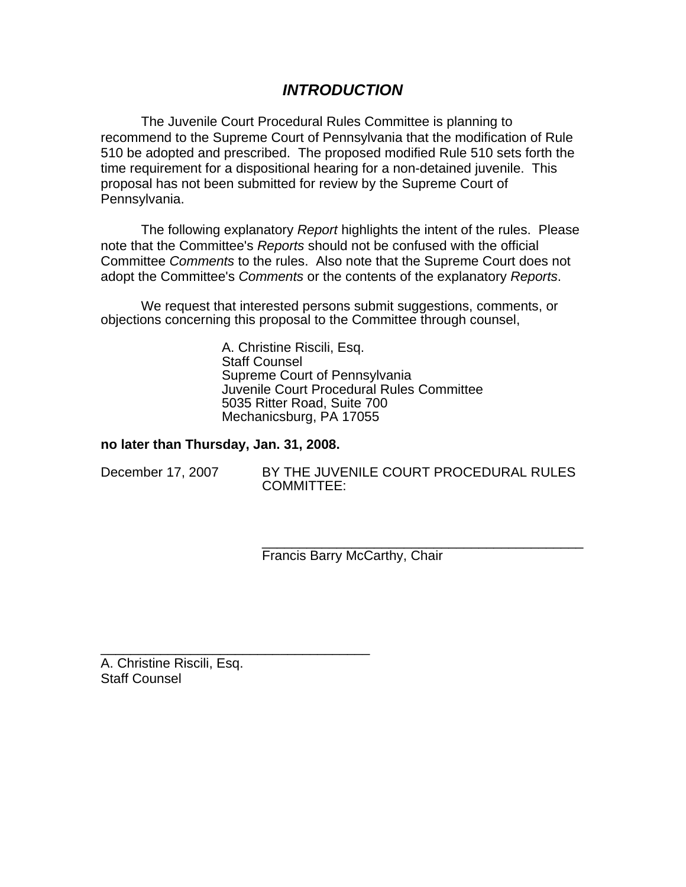# *INTRODUCTION*

The Juvenile Court Procedural Rules Committee is planning to recommend to the Supreme Court of Pennsylvania that the modification of Rule 510 be adopted and prescribed. The proposed modified Rule 510 sets forth the time requirement for a dispositional hearing for a non-detained juvenile. This proposal has not been submitted for review by the Supreme Court of Pennsylvania.

The following explanatory *Report* highlights the intent of the rules. Please note that the Committee's *Reports* should not be confused with the official Committee *Comments* to the rules. Also note that the Supreme Court does not adopt the Committee's *Comments* or the contents of the explanatory *Reports*.

We request that interested persons submit suggestions, comments, or objections concerning this proposal to the Committee through counsel,

> A. Christine Riscili, Esq. Staff Counsel Supreme Court of Pennsylvania Juvenile Court Procedural Rules Committee 5035 Ritter Road, Suite 700 Mechanicsburg, PA 17055

#### **no later than Thursday, Jan. 31, 2008.**

\_\_\_\_\_\_\_\_\_\_\_\_\_\_\_\_\_\_\_\_\_\_\_\_\_\_\_\_\_\_\_\_\_\_\_\_

| December 17, 2007 |
|-------------------|
|-------------------|

BY THE JUVENILE COURT PROCEDURAL RULES COMMITTEE:

\_\_\_\_\_\_\_\_\_\_\_\_\_\_\_\_\_\_\_\_\_\_\_\_\_\_\_\_\_\_\_\_\_\_\_\_\_\_\_\_\_\_\_ Francis Barry McCarthy, Chair

A. Christine Riscili, Esq. Staff Counsel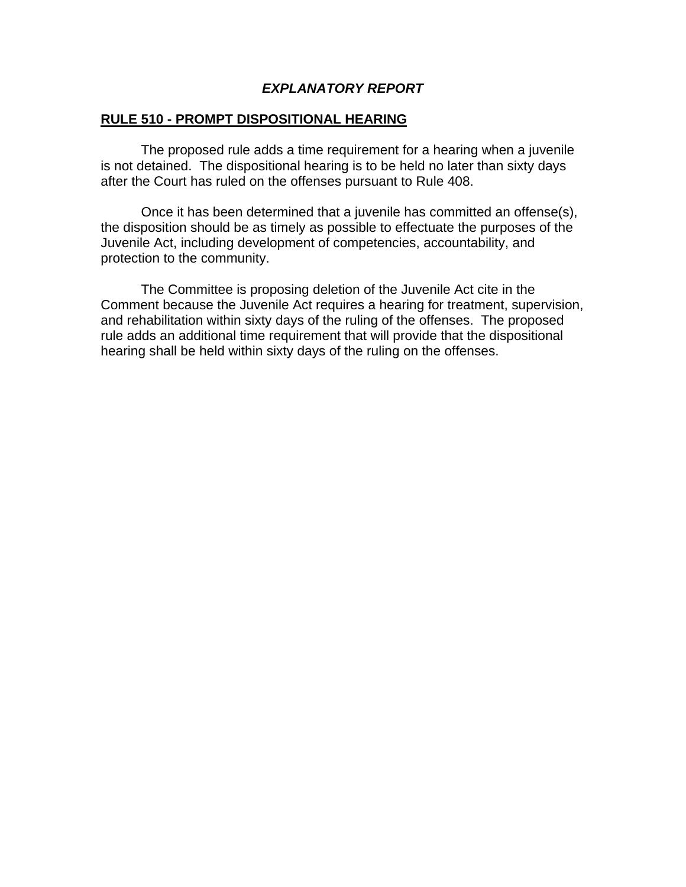# *EXPLANATORY REPORT*

#### **RULE 510 - PROMPT DISPOSITIONAL HEARING**

 The proposed rule adds a time requirement for a hearing when a juvenile is not detained. The dispositional hearing is to be held no later than sixty days after the Court has ruled on the offenses pursuant to Rule 408.

 Once it has been determined that a juvenile has committed an offense(s), the disposition should be as timely as possible to effectuate the purposes of the Juvenile Act, including development of competencies, accountability, and protection to the community.

 The Committee is proposing deletion of the Juvenile Act cite in the Comment because the Juvenile Act requires a hearing for treatment, supervision, and rehabilitation within sixty days of the ruling of the offenses. The proposed rule adds an additional time requirement that will provide that the dispositional hearing shall be held within sixty days of the ruling on the offenses.